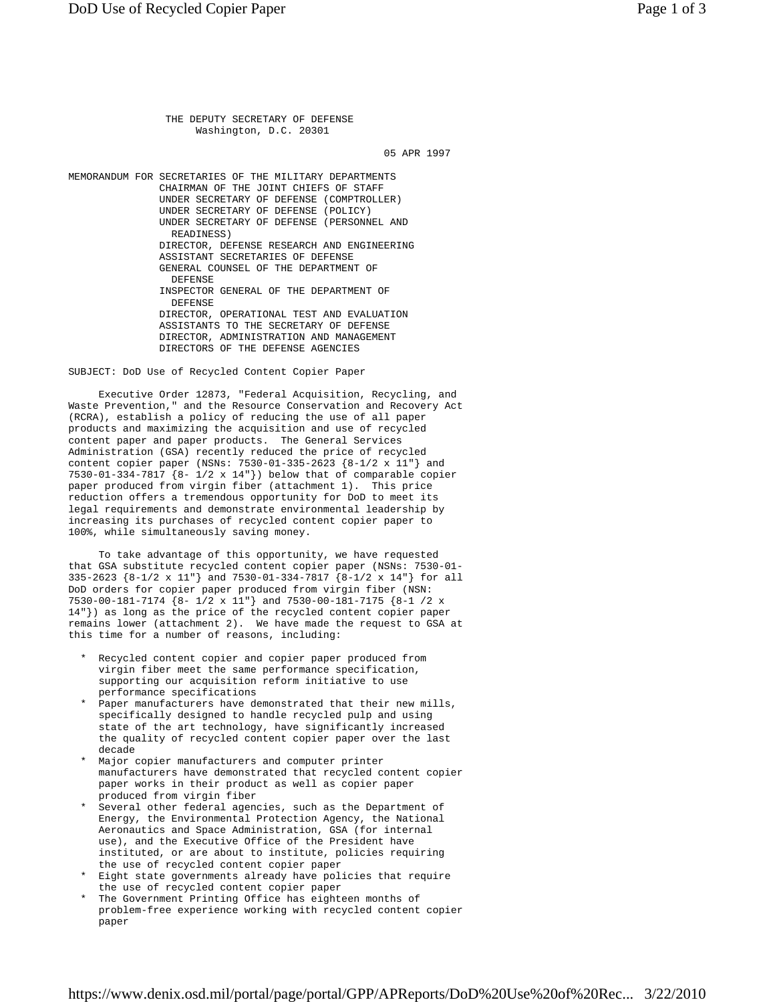THE DEPUTY SECRETARY OF DEFENSE Washington, D.C. 20301

05 APR 1997

MEMORANDUM FOR SECRETARIES OF THE MILITARY DEPARTMENTS CHAIRMAN OF THE JOINT CHIEFS OF STAFF UNDER SECRETARY OF DEFENSE (COMPTROLLER) UNDER SECRETARY OF DEFENSE (POLICY) UNDER SECRETARY OF DEFENSE (PERSONNEL AND READINESS) DIRECTOR, DEFENSE RESEARCH AND ENGINEERING ASSISTANT SECRETARIES OF DEFENSE GENERAL COUNSEL OF THE DEPARTMENT OF DEFENSE INSPECTOR GENERAL OF THE DEPARTMENT OF DEFENSE DIRECTOR, OPERATIONAL TEST AND EVALUATION ASSISTANTS TO THE SECRETARY OF DEFENSE DIRECTOR, ADMINISTRATION AND MANAGEMENT DIRECTORS OF THE DEFENSE AGENCIES

SUBJECT: DoD Use of Recycled Content Copier Paper

 Executive Order 12873, "Federal Acquisition, Recycling, and Waste Prevention," and the Resource Conservation and Recovery Act (RCRA), establish a policy of reducing the use of all paper products and maximizing the acquisition and use of recycled content paper and paper products. The General Services Administration (GSA) recently reduced the price of recycled content copier paper (NSNs: 7530-01-335-2623 {8-1/2 x 11"} and 7530-01-334-7817 {8- 1/2 x 14"}) below that of comparable copier paper produced from virgin fiber (attachment 1). This price reduction offers a tremendous opportunity for DoD to meet its legal requirements and demonstrate environmental leadership by increasing its purchases of recycled content copier paper to 100%, while simultaneously saving money.

 To take advantage of this opportunity, we have requested that GSA substitute recycled content copier paper (NSNs: 7530-01- 335-2623 {8-1/2 x 11"} and 7530-01-334-7817 {8-1/2 x 14"} for all DoD orders for copier paper produced from virgin fiber (NSN: 7530-00-181-7174 {8- 1/2 x 11"} and 7530-00-181-7175 {8-1 /2 x 14"}) as long as the price of the recycled content copier paper remains lower (attachment 2). We have made the request to GSA at this time for a number of reasons, including:

- Recycled content copier and copier paper produced from virgin fiber meet the same performance specification, supporting our acquisition reform initiative to use performance specifications
- Paper manufacturers have demonstrated that their new mills, specifically designed to handle recycled pulp and using state of the art technology, have significantly increased the quality of recycled content copier paper over the last decade
- Major copier manufacturers and computer printer manufacturers have demonstrated that recycled content copier paper works in their product as well as copier paper produced from virgin fiber
- Several other federal agencies, such as the Department of Energy, the Environmental Protection Agency, the National Aeronautics and Space Administration, GSA (for internal use), and the Executive Office of the President have instituted, or are about to institute, policies requiring the use of recycled content copier paper
- Eight state governments already have policies that require the use of recycled content copier paper
- The Government Printing Office has eighteen months of problem-free experience working with recycled content copier paper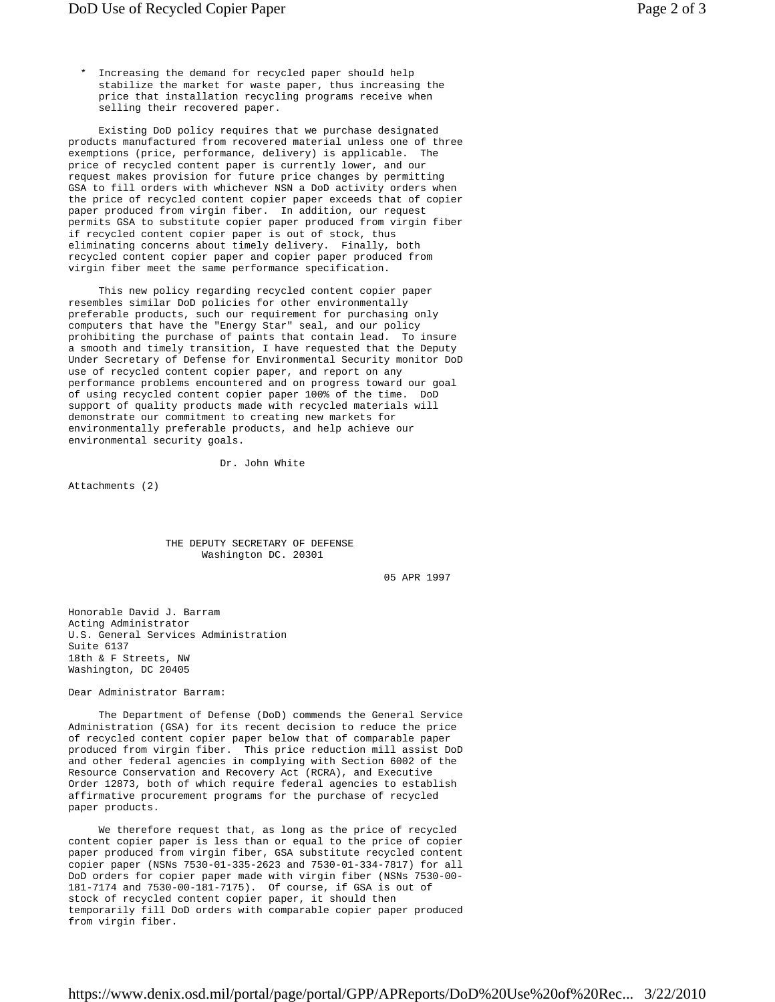Increasing the demand for recycled paper should help stabilize the market for waste paper, thus increasing the price that installation recycling programs receive when selling their recovered paper.

 Existing DoD policy requires that we purchase designated products manufactured from recovered material unless one of three exemptions (price, performance, delivery) is applicable. The price of recycled content paper is currently lower, and our request makes provision for future price changes by permitting GSA to fill orders with whichever NSN a DoD activity orders when the price of recycled content copier paper exceeds that of copier paper produced from virgin fiber. In addition, our request permits GSA to substitute copier paper produced from virgin fiber if recycled content copier paper is out of stock, thus eliminating concerns about timely delivery. Finally, both recycled content copier paper and copier paper produced from virgin fiber meet the same performance specification.

 This new policy regarding recycled content copier paper resembles similar DoD policies for other environmentally preferable products, such our requirement for purchasing only computers that have the "Energy Star" seal, and our policy prohibiting the purchase of paints that contain lead. To insure a smooth and timely transition, I have requested that the Deputy Under Secretary of Defense for Environmental Security monitor DoD use of recycled content copier paper, and report on any performance problems encountered and on progress toward our goal of using recycled content copier paper 100% of the time. DoD support of quality products made with recycled materials will demonstrate our commitment to creating new markets for environmentally preferable products, and help achieve our environmental security goals.

Dr. John White

Attachments (2)

 THE DEPUTY SECRETARY OF DEFENSE Washington DC. 20301

05 APR 1997

Honorable David J. Barram Acting Administrator U.S. General Services Administration Suite 6137 18th & F Streets, NW Washington, DC 20405

Dear Administrator Barram:

 The Department of Defense (DoD) commends the General Service Administration (GSA) for its recent decision to reduce the price of recycled content copier paper below that of comparable paper produced from virgin fiber. This price reduction mill assist DoD and other federal agencies in complying with Section 6002 of the Resource Conservation and Recovery Act (RCRA), and Executive Order 12873, both of which require federal agencies to establish affirmative procurement programs for the purchase of recycled paper products.

 We therefore request that, as long as the price of recycled content copier paper is less than or equal to the price of copier paper produced from virgin fiber, GSA substitute recycled content copier paper (NSNs 7530-01-335-2623 and 7530-01-334-7817) for all DoD orders for copier paper made with virgin fiber (NSNs 7530-00- 181-7174 and 7530-00-181-7175). Of course, if GSA is out of stock of recycled content copier paper, it should then temporarily fill DoD orders with comparable copier paper produced from virgin fiber.